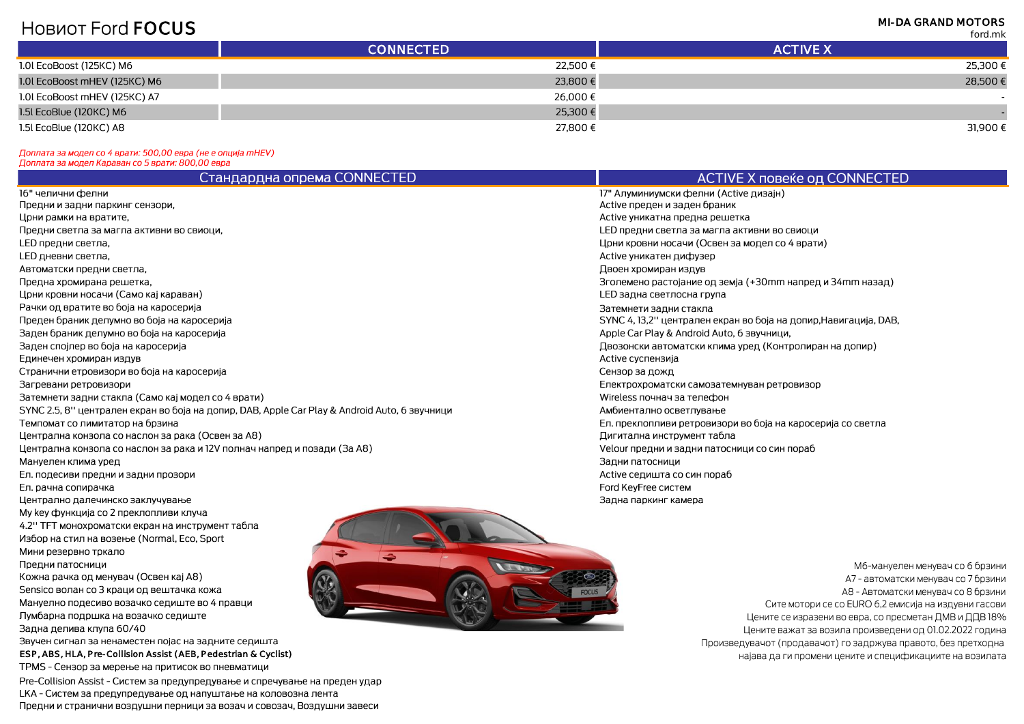## **HOBUOT FORD FOCUS**

**MI-DA GRAND MOTORS** 

**Condition** 

|                               |                  | TULUJI IN       |
|-------------------------------|------------------|-----------------|
|                               | <b>CONNECTED</b> | <b>ACTIVE X</b> |
| 1.0l EcoBoost (125KC) M6      | 22,500 €         | 25,300 €        |
| 1.0l EcoBoost mHEV (125KC) M6 | 23,800 €         | 28,500€         |
| 1.0l EcoBoost mHEV (125KC) A7 | 26,000€          |                 |
| 1.5l EcoBlue (120KC) M6       | 25,300 €         |                 |
| 1.5l EcoBlue (120KC) A8       | 27,800€          | 31,900€         |
|                               |                  |                 |

## Доплата за модел со 4 врати: 500,00 евра (не е опција mHEV)

| цоплата за модел караван со 5 врати: 800,00 евра                                               |                                                                  |  |  |
|------------------------------------------------------------------------------------------------|------------------------------------------------------------------|--|--|
| Стандардна опрема CONNECTED                                                                    | ACTIVE X повеќе од CONNECTED                                     |  |  |
| l6" челични фелни                                                                              | 17" Алуминиумски фелни (Active дизајн)                           |  |  |
| Предни и задни паркинг сензори,                                                                | Active преден и заден браник                                     |  |  |
| Јрни рамки на вратите,                                                                         | Active уникатна предна решетка                                   |  |  |
| Предни светла за магла активни во свиоци,                                                      | LED предни светла за магла активни во свиоци                     |  |  |
| <sub>-</sub> ED предни светла,                                                                 | Црни кровни носачи (Освен за модел со 4 врати)                   |  |  |
| <sub>-</sub> ED дневни светла,                                                                 | Active уникатен дифузер                                          |  |  |
| Автоматски предни светла,                                                                      | Двоен хромиран издув                                             |  |  |
| Тредна хромирана решетка,                                                                      | Эголемено растојание од земја (+30mm напред и 34mm назад)        |  |  |
| Јрни кровни носачи (Само кај караван)                                                          | LED задна светлосна група                                        |  |  |
| <sup>р</sup> ачки од вратите во боја на каросерија                                             | Затемнети задни стакла                                           |  |  |
| Треден браник делумно во боја на каросерија                                                    | SYNC 4, 13,2" централен екран во боја на допир, Навигација, DAB, |  |  |
| Заден браник делумно во боја на каросерија                                                     | Apple Car Play & Android Auto, 6 звучници,                       |  |  |
| Заден спојлер во боја на каросерија                                                            | Двозонски автоматски клима уред (Контролиран на допир)           |  |  |
| Единечен хромиран издув                                                                        | Active суспензија                                                |  |  |
| Странични етровизори во боја на каросерија                                                     | Сензор за дожд                                                   |  |  |
| Загревани ретровизори                                                                          | Електрохроматски самозатемнуван ретровизор                       |  |  |
| Затемнети задни стакла (Само кај модел со 4 врати)                                             | Wireless почнач за телефон                                       |  |  |
| SYNC 2.5, 8'' централен екран во боја на допир, DAB, Apple Car Play & Android Auto, 6 звучници | Амбиентално осветлување                                          |  |  |
| Гемпомат со лимитатор на брзина                                                                | Ел. преклопливи ретровизори во боја на каросерија со светла      |  |  |
| "Централна конзола со наслон за рака (Освен за А8)                                             | Дигитална инструмент табла                                       |  |  |
| Jентрална конзола со наслон за рака и 12V полнач напред и позади (За А8)                       | Velour предни и задни патосници со син пораб                     |  |  |
| Иануелен клима уред                                                                            | Задни патосници                                                  |  |  |
| Ел. подесиви предни и задни прозори                                                            | Active седишта со син пораб                                      |  |  |
| Ел. рачна сопирачка                                                                            | Ford KeyFree систем                                              |  |  |
| Јентрално далечинско заклучување                                                               | Задна паркинг камера                                             |  |  |



- Му кеу функција со 2 преклопливи клуча
- 4.2" ТЕТ монохроматски екран на инструмент табла
- Избор на стил на возење (Normal, Eco, Sport

Мини резервно тркало

- Предни патосници
- Кожна рачка од менувач (Освен кај А8)
- Sensico волан со 3 краци од вештачка кожа
- Мануелно подесиво возачко седиште во 4 правци
- Лумбарна подршка на возачко седиште
- Задна делива клупа 60/40

Звучен сигнал за ненаместен појас на задните седишта

ESP, ABS, HLA, Pre-Collision Assist (AEB, Pedestrian & Cyclist)

TPMS - Сензор за мерење на притисок во пневматици

Pre-Collision Assist - Систем за предупредување и спречување на преден удар LKA - Систем за предупредување од напуштање на коловозна лента Предни и странични воздушни перници за возач и совозач, Воздушни завеси



Мб-мануелен менувач со 6 брзини А7 - автоматски менувач со 7 брзини А8 - Автоматски менувач со 8 брзини Сите мотори се со EURO 6,2 емисија на издувни гасови Цените се изразени во евра, со пресметан ДМВ и ДДВ 18% Цените важат за возила произведени од 01.02.2022 година Произведувачот (продавачот) го задржува правото, без претходна најава да ги промени цените и спецификациите на возилата